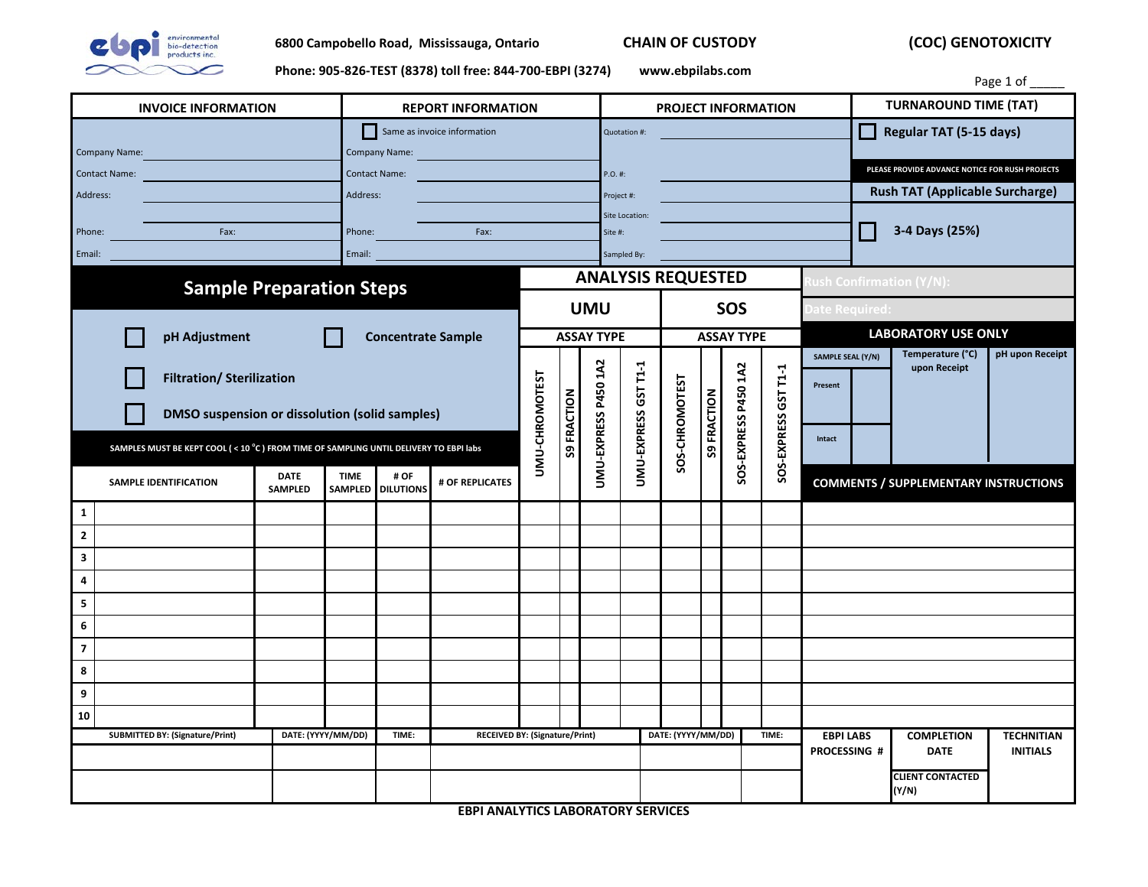

 **(COC) GENOTOXICITY**

**Phone: 905-826-TEST (8378) toll free: 844-700-EBPI (3274) www.ebpilabs.com**

|                                                                                       |  |  |        |                                              | $\frac{1}{2}$ |                |                                       |                      |                            |                           |                         |                      |                      |                            |                                                 |                                              | Page 1 of                            |  |
|---------------------------------------------------------------------------------------|--|--|--------|----------------------------------------------|---------------|----------------|---------------------------------------|----------------------|----------------------------|---------------------------|-------------------------|----------------------|----------------------|----------------------------|-------------------------------------------------|----------------------------------------------|--------------------------------------|--|
| <b>INVOICE INFORMATION</b>                                                            |  |  |        | <b>REPORT INFORMATION</b>                    |               |                |                                       |                      | <b>PROJECT INFORMATION</b> |                           |                         |                      |                      |                            | <b>TURNAROUND TIME (TAT)</b>                    |                                              |                                      |  |
| Company Name:                                                                         |  |  |        | Same as invoice information<br>Company Name: |               |                |                                       |                      | Quotation #:               |                           |                         |                      |                      |                            | Regular TAT (5-15 days)                         |                                              |                                      |  |
| <b>Contact Name:</b>                                                                  |  |  |        | <b>Contact Name:</b>                         |               |                |                                       |                      | P.O. #:                    |                           |                         |                      |                      |                            | PLEASE PROVIDE ADVANCE NOTICE FOR RUSH PROJECTS |                                              |                                      |  |
| Address:                                                                              |  |  |        | Address:                                     |               |                |                                       |                      | Project #:                 |                           |                         |                      |                      |                            | <b>Rush TAT (Applicable Surcharge)</b>          |                                              |                                      |  |
|                                                                                       |  |  |        |                                              |               |                |                                       |                      | Site Location:             |                           |                         |                      |                      |                            |                                                 |                                              |                                      |  |
| Phone:<br>Fax:                                                                        |  |  |        | Phone:<br>Fax:                               |               |                |                                       |                      | Site #:                    |                           |                         |                      |                      |                            | 3-4 Days (25%)                                  |                                              |                                      |  |
| Email:                                                                                |  |  | Email: |                                              |               |                |                                       |                      | Sampled By:                |                           |                         |                      |                      |                            |                                                 |                                              |                                      |  |
|                                                                                       |  |  |        |                                              |               |                |                                       |                      |                            | <b>ANALYSIS REQUESTED</b> |                         |                      |                      |                            |                                                 | ush Confirmation (Y/N):                      |                                      |  |
| <b>Sample Preparation Steps</b>                                                       |  |  |        |                                              |               |                | <b>UMU</b>                            |                      |                            |                           | SOS                     |                      |                      |                            | Date Required:                                  |                                              |                                      |  |
| pH Adjustment                                                                         |  |  |        | <b>Concentrate Sample</b>                    |               |                | <b>ASSAY TYPE</b>                     |                      |                            |                           | <b>ASSAY TYPE</b>       |                      |                      | <b>LABORATORY USE ONLY</b> |                                                 |                                              |                                      |  |
|                                                                                       |  |  |        |                                              |               |                |                                       |                      |                            |                           |                         |                      |                      | SAMPLE SEAL (Y/N)          |                                                 | Temperature (°C)                             | pH upon Receipt                      |  |
| <b>Filtration/ Sterilization</b>                                                      |  |  |        |                                              |               |                |                                       |                      |                            |                           |                         |                      |                      |                            |                                                 | upon Receipt                                 |                                      |  |
|                                                                                       |  |  |        |                                              |               |                |                                       |                      |                            |                           |                         |                      |                      | Present                    |                                                 |                                              |                                      |  |
| DMSO suspension or dissolution (solid samples)                                        |  |  |        |                                              |               | UMU-CHROMOTEST | <b>S9 FRACTION</b>                    | UMU-EXPRESS P450 1A2 |                            |                           | <b>FRACTION</b>         | SOS-EXPRESS P450 1A2 |                      |                            |                                                 |                                              |                                      |  |
| SAMPLES MUST BE KEPT COOL (< 10 °C) FROM TIME OF SAMPLING UNTIL DELIVERY TO EBPI labs |  |  |        |                                              |               |                |                                       |                      | UMU-EXPRESS GST T1-1       | SOS-CHROMOTEST            | $\mathsf{S} \mathsf{S}$ |                      | SOS-EXPRESS GST T1-1 | Intact                     |                                                 |                                              |                                      |  |
| <b>DATE</b><br><b>TIME</b><br># OF                                                    |  |  |        |                                              |               |                |                                       |                      |                            |                           |                         |                      |                      |                            |                                                 |                                              |                                      |  |
| SAMPLE IDENTIFICATION<br><b>SAMPLED</b>                                               |  |  |        | # OF REPLICATES<br>SAMPLED DILUTIONS         |               |                |                                       |                      |                            |                           |                         |                      |                      |                            |                                                 | <b>COMMENTS / SUPPLEMENTARY INSTRUCTIONS</b> |                                      |  |
| $\mathbf{1}$                                                                          |  |  |        |                                              |               |                |                                       |                      |                            |                           |                         |                      |                      |                            |                                                 |                                              |                                      |  |
| $\mathbf 2$                                                                           |  |  |        |                                              |               |                |                                       |                      |                            |                           |                         |                      |                      |                            |                                                 |                                              |                                      |  |
| 3                                                                                     |  |  |        |                                              |               |                |                                       |                      |                            |                           |                         |                      |                      |                            |                                                 |                                              |                                      |  |
| 4                                                                                     |  |  |        |                                              |               |                |                                       |                      |                            |                           |                         |                      |                      |                            |                                                 |                                              |                                      |  |
| 5                                                                                     |  |  |        |                                              |               |                |                                       |                      |                            |                           |                         |                      |                      |                            |                                                 |                                              |                                      |  |
| 6                                                                                     |  |  |        |                                              |               |                |                                       |                      |                            |                           |                         |                      |                      |                            |                                                 |                                              |                                      |  |
| $\overline{\mathbf{z}}$                                                               |  |  |        |                                              |               |                |                                       |                      |                            |                           |                         |                      |                      |                            |                                                 |                                              |                                      |  |
| 8                                                                                     |  |  |        |                                              |               |                |                                       |                      |                            |                           |                         |                      |                      |                            |                                                 |                                              |                                      |  |
| 9                                                                                     |  |  |        |                                              |               |                |                                       |                      |                            |                           |                         |                      |                      |                            |                                                 |                                              |                                      |  |
| 10                                                                                    |  |  |        |                                              |               |                |                                       |                      |                            |                           |                         |                      |                      |                            |                                                 |                                              |                                      |  |
| <b>SUBMITTED BY: (Signature/Print)</b><br>DATE: (YYYY/MM/DD)                          |  |  |        | TIME:                                        |               |                | <b>RECEIVED BY: (Signature/Print)</b> |                      |                            | DATE: (YYYY/MM/DD)        |                         |                      | TIME:                | <b>EBPI LABS</b>           |                                                 | <b>COMPLETION</b><br><b>DATE</b>             | <b>TECHNITIAN</b><br><b>INITIALS</b> |  |
|                                                                                       |  |  |        |                                              |               |                |                                       |                      |                            |                           |                         | <b>PROCESSING #</b>  |                      |                            |                                                 |                                              |                                      |  |
|                                                                                       |  |  |        |                                              |               |                |                                       |                      |                            |                           |                         |                      |                      |                            | <b>CLIENT CONTACTED</b><br>(Y/N)                |                                              |                                      |  |

**EBPI ANALYTICS LABORATORY SERVICES**